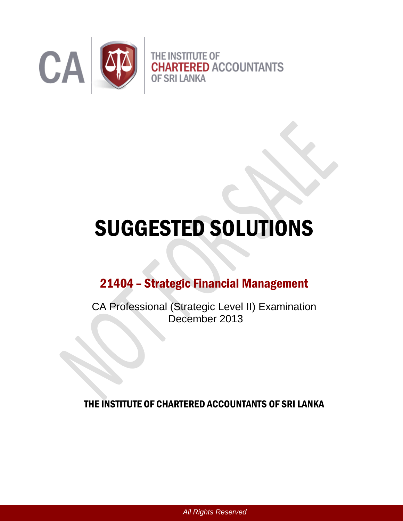

# SUGGESTED SOLUTIONS

## 21404 – Strategic Financial Management

CA Professional (Strategic Level II) Examination December 2013

THE INSTITUTE OF CHARTERED ACCOUNTANTS OF SRI LANKA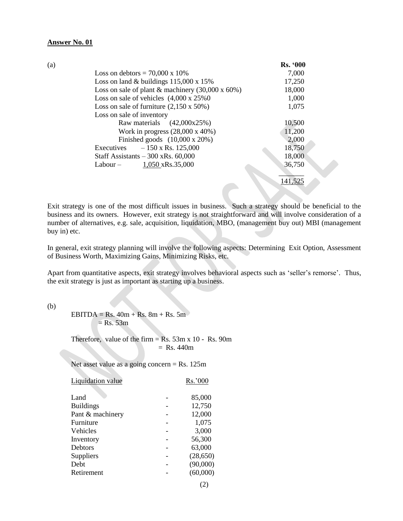### **Answer No. 01**

| (a) |                                                          | <b>Rs. '000</b> |
|-----|----------------------------------------------------------|-----------------|
|     | Loss on debtors = $70,000 \times 10\%$                   | 7,000           |
|     | Loss on land & buildings $115,000 \times 15\%$           | 17,250          |
|     | Loss on sale of plant & machinery $(30,000 \times 60\%)$ | 18,000          |
|     | Loss on sale of vehicles $(4,000 \times 25\% 0)$         | 1,000           |
|     | Loss on sale of furniture $(2,150 \times 50\%)$          | 1,075           |
|     | Loss on sale of inventory                                |                 |
|     | Raw materials $(42,000x25%)$                             | 10,500          |
|     | Work in progress $(28,000 \times 40\%)$                  | 11,200          |
|     | Finished goods (10,000 x 20%)                            | 2,000           |
|     | $-150$ x Rs. 125,000<br>Executives                       | 18,750          |
|     | Staff Assistants $-300$ xRs. 60,000                      | 18,000          |
|     | 1,050 xRs.35,000<br>Labour –                             | 36,750          |
|     |                                                          | 141.525         |

Exit strategy is one of the most difficult issues in business. Such a strategy should be beneficial to the business and its owners. However, exit strategy is not straightforward and will involve consideration of a number of alternatives, e.g. sale, acquisition, liquidation, MBO, (management buy out) MBI (management buy in) etc.

In general, exit strategy planning will involve the following aspects: Determining Exit Option, Assessment of Business Worth, Maximizing Gains, Minimizing Risks, etc.

Apart from quantitative aspects, exit strategy involves behavioral aspects such as 'seller's remorse'. Thus, the exit strategy is just as important as starting up a business.

(b)

EBITDA = Rs.  $40m + Rs$ .  $8m + Rs$ . 5m  $=$  Rs. 53m

Therefore, value of the firm  $=$  Rs. 53m x 10 - Rs. 90m  $=$  Rs. 440m

Net asset value as a going concern  $=$  Rs. 125m

| Rs.'000   |
|-----------|
|           |
| 85,000    |
| 12,750    |
| 12,000    |
| 1,075     |
| 3,000     |
| 56,300    |
| 63,000    |
| (28, 650) |
| (90,000)  |
| (60,000)  |
|           |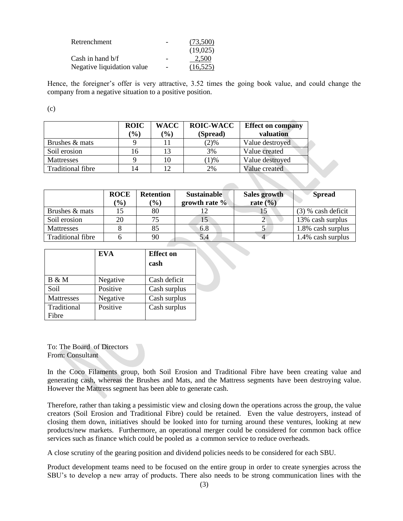| Retrenchment               |   | (73,500) |
|----------------------------|---|----------|
|                            |   | (19,025) |
| Cash in hand $b/f$         |   | 2.500    |
| Negative liquidation value | - | (16.525) |

Hence, the foreigner's offer is very attractive, 3.52 times the going book value, and could change the company from a negative situation to a positive position.

(c)

|                          | <b>ROIC</b>      | <b>WACC</b> | <b>ROIC-WACC</b> | <b>Effect on company</b> |
|--------------------------|------------------|-------------|------------------|--------------------------|
|                          | $\mathcal{O}(6)$ | $($ %)      | (Spread)         | valuation                |
| Brushes & mats           |                  |             | 2)%              | Value destroyed          |
| Soil erosion             | 16               | 13          | 3%               | Value created            |
| <b>Mattresses</b>        |                  |             | (1)%             | Value destroyed          |
| <b>Traditional fibre</b> |                  |             | 2%               | Value created            |

|                   | <b>ROCE</b><br>$\mathcal{O}_0$ | <b>Retention</b><br>$(\%)$ | <b>Sustainable</b><br>growth rate $\%$ | Sales growth<br>rate $(\%)$ | <b>Spread</b>        |
|-------------------|--------------------------------|----------------------------|----------------------------------------|-----------------------------|----------------------|
| Brushes & mats    | 15                             | 80                         |                                        |                             | $(3)$ % cash deficit |
| Soil erosion      | 20                             | 75                         | 15                                     |                             | 13% cash surplus     |
| Mattresses        |                                | 85                         | 6.8                                    |                             | 1.8% cash surplus    |
| Traditional fibre |                                | 90                         | 5.4                                    |                             | 1.4% cash surplus    |

|                      | <b>EVA</b> | <b>Effect on</b> |
|----------------------|------------|------------------|
|                      |            | cash             |
| B & M                | Negative   | Cash deficit     |
| Soil                 | Positive   | Cash surplus     |
| Mattresses           | Negative   | Cash surplus     |
| Traditional<br>Fibre | Positive   | Cash surplus     |

To: The Board of Directors From: Consultant

In the Coco Filaments group, both Soil Erosion and Traditional Fibre have been creating value and generating cash, whereas the Brushes and Mats, and the Mattress segments have been destroying value. However the Mattress segment has been able to generate cash.

Therefore, rather than taking a pessimistic view and closing down the operations across the group, the value creators (Soil Erosion and Traditional Fibre) could be retained. Even the value destroyers, instead of closing them down, initiatives should be looked into for turning around these ventures, looking at new products/new markets. Furthermore, an operational merger could be considered for common back office services such as finance which could be pooled as a common service to reduce overheads.

A close scrutiny of the gearing position and dividend policies needs to be considered for each SBU.

Product development teams need to be focused on the entire group in order to create synergies across the SBU's to develop a new array of products. There also needs to be strong communication lines with the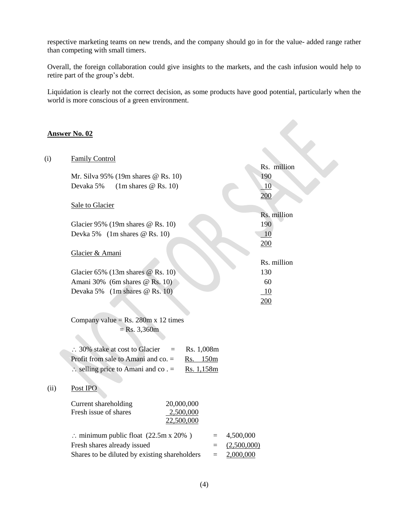respective marketing teams on new trends, and the company should go in for the value- added range rather than competing with small timers.

Overall, the foreign collaboration could give insights to the markets, and the cash infusion would help to retire part of the group's debt.

Liquidation is clearly not the correct decision, as some products have good potential, particularly when the world is more conscious of a green environment.

## **Answer No. 02**

|      | <b>Answer No. 02</b>                                                         |                                       |                          |                          |
|------|------------------------------------------------------------------------------|---------------------------------------|--------------------------|--------------------------|
| (i)  | <b>Family Control</b>                                                        |                                       |                          | Rs. million              |
|      | Mr. Silva 95% (19m shares @ Rs. 10)                                          |                                       |                          | 190                      |
|      | Devaka 5%<br>$(1m \text{ shares } @$ Rs. 10)                                 |                                       |                          | 10 <sup>°</sup><br>200   |
|      | Sale to Glacier                                                              |                                       |                          |                          |
|      | Glacier 95% (19m shares $@$ Rs. 10)<br>Devka 5% (1m shares @ Rs. 10)         |                                       |                          | Rs. million<br>190<br>10 |
|      | Glacier & Amani                                                              |                                       |                          | 200<br>Rs. million       |
|      | Glacier 65% (13m shares @ Rs. 10)                                            |                                       |                          | 130                      |
|      | Amani 30% (6m shares @ Rs. 10)<br>Devaka 5% (1m shares @ Rs. 10)             |                                       |                          | 60<br>10                 |
|      |                                                                              |                                       |                          | 200                      |
|      | Company value = Rs. 280m x 12 times<br>$=$ Rs. 3,360m                        |                                       |                          |                          |
|      | $\therefore$ 30% stake at cost to Glacier                                    | Rs. 1,008m<br>$=$                     |                          |                          |
|      | Profit from sale to Amani and $\cos$ =                                       | Rs. 150m                              |                          |                          |
|      | $\therefore$ selling price to Amani and co. =                                | Rs. 1,158m                            |                          |                          |
| (ii) | Post IPO                                                                     |                                       |                          |                          |
|      | Current shareholding<br>Fresh issue of shares                                | 20,000,000<br>2,500,000<br>22,500,000 |                          |                          |
|      | : minimum public float $(22.5m \times 20\%)$                                 | $\qquad \qquad =\qquad \qquad$        | 4,500,000                |                          |
|      | Fresh shares already issued<br>Shares to be diluted by existing shareholders | $=$<br>$=$                            | (2,500,000)<br>2,000,000 |                          |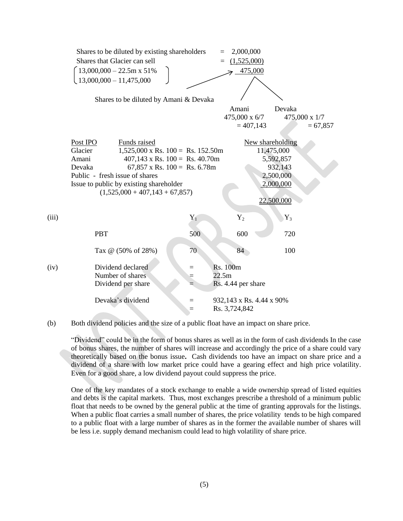

(b) Both dividend policies and the size of a public float have an impact on share price.

"Dividend" could be in the form of bonus shares as well as in the form of cash dividends In the case of bonus shares, the number of shares will increase and accordingly the price of a share could vary theoretically based on the bonus issue**.** Cash dividends too have an impact on share price and a dividend of a share with low market price could have a gearing effect and high price volatility. Even for a good share, a low dividend payout could suppress the price.

One of the key mandates of a stock exchange to enable a wide ownership spread of listed equities and debts is the capital markets. Thus, most exchanges prescribe a threshold of a minimum public float that needs to be owned by the general public at the time of granting approvals for the listings. When a public float carries a small number of shares, the price volatility tends to be high compared to a public float with a large number of shares as in the former the available number of shares will be less i.e. supply demand mechanism could lead to high volatility of share price.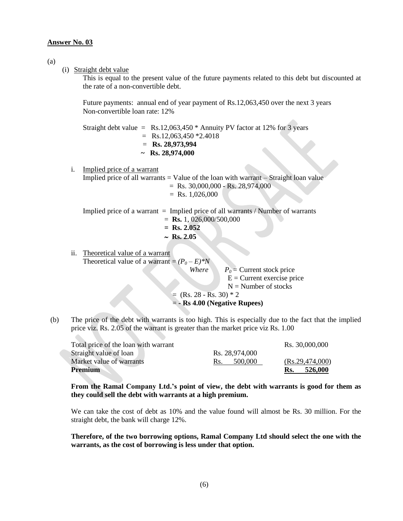## **Answer No. 03**

 $\bullet$ 

### (a)

(i) Straight debt value

This is equal to the present value of the future payments related to this debt but discounted at the rate of a non-convertible debt.

Future payments: annual end of year payment of Rs.12,063,450 over the next 3 years Non-convertible loan rate: 12%

Straight debt value =  $Rs.12,063,450 * Annuity PV factor at 12% for 3 years$  $=$  Rs.12,063,450  $*2.4018$  = **Rs. 28,973,994**  $\sim$  **Rs.** 28,974,000

- i. Implied price of a warrant Implied price of all warrants  $=$  Value of the loan with warrant  $-$  Straight loan value
	- $=$  Rs. 30,000,000 Rs. 28,974,000
	- $=$  Rs. 1,026,000

Implied price of a warrant  $=$  Implied price of all warrants / Number of warrants

- $=$  **Rs.** 1, 026,000/500,000
- **= Rs. 2.052**
- $\sim$  **Rs.** 2.05
- ii. Theoretical value of a warrant Theoretical value of a warrant  $=(P_0 - E)^*N$

*Where*  $P_0 =$  Current stock price  $E =$  Current exercise price  $N =$  Number of stocks  $=$  (Rs. 28 - Rs. 30)  $*$  2

= **- Rs 4.00 (Negative Rupees)**

(b) The price of the debt with warrants is too high. This is especially due to the fact that the implied price viz. Rs. 2.05 of the warrant is greater than the market price viz Rs. 1.00

| Total price of the loan with warrant |                | Rs. 30,000,000    |  |
|--------------------------------------|----------------|-------------------|--|
| Straight value of loan               | Rs. 28.974.000 |                   |  |
| Market value of warrants             | 500,000<br>Rs. | (Rs.29, 474, 000) |  |
| <b>Premium</b>                       |                | 526,000<br>Rs.    |  |

**From the Ramal Company Ltd.'s point of view, the debt with warrants is good for them as they could sell the debt with warrants at a high premium.** 

We can take the cost of debt as 10% and the value found will almost be Rs. 30 million. For the straight debt, the bank will charge 12%.

**Therefore, of the two borrowing options, Ramal Company Ltd should select the one with the warrants, as the cost of borrowing is less under that option.**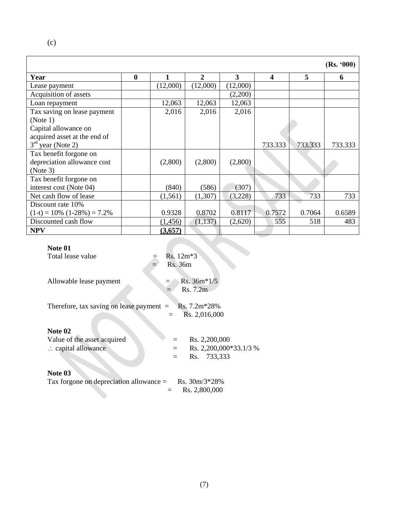|                                   |          |          |                |          |         |         | (Rs. '000) |
|-----------------------------------|----------|----------|----------------|----------|---------|---------|------------|
| Year                              | $\bf{0}$ |          | $\overline{2}$ | 3        | 4       | 5       | 6          |
| Lease payment                     |          | (12,000) | (12,000)       | (12,000) |         |         |            |
| Acquisition of assets             |          |          |                | (2,200)  |         |         |            |
| Loan repayment                    |          | 12,063   | 12,063         | 12,063   |         |         |            |
| Tax saving on lease payment       |          | 2,016    | 2,016          | 2,016    |         |         |            |
| (Note 1)                          |          |          |                |          |         |         |            |
| Capital allowance on              |          |          |                |          |         |         |            |
| acquired asset at the end of      |          |          |                |          |         |         |            |
| $3rd$ year (Note 2)               |          |          |                |          | 733.333 | 733.333 | 733.333    |
| Tax benefit forgone on            |          |          |                |          |         |         |            |
| depreciation allowance cost       |          | (2,800)  | (2,800)        | (2,800)  |         |         |            |
| (Note 3)                          |          |          |                |          |         |         |            |
| Tax benefit forgone on            |          |          |                |          |         |         |            |
| interest cost (Note 04)           |          | (840)    | (586)          | (307)    |         |         |            |
| Net cash flow of lease            |          | (1, 561) | (1,307)        | (3,228)  | 733     | 733     | 733        |
| Discount rate 10%                 |          |          |                |          |         |         |            |
| $(1-t) = 10\%$ $(1-28\%) = 7.2\%$ |          | 0.9328   | 0.8702         | 0.8117   | 0.7572  | 0.7064  | 0.6589     |
| Discounted cash flow              |          | (1,456)  | (1,137)        | (2,620)  | 555     | 518     | 483        |
| <b>NPV</b>                        |          | (3,657)  |                |          |         |         |            |

## **Note 01**

| Total lease value                          | Rs. 12m*3<br>Rs. 36m                  |
|--------------------------------------------|---------------------------------------|
| Allowable lease payment                    | $Rs.36m*1/5$<br>Rs. 7.2m              |
| Therefore, tax saving on lease payment $=$ | $Rs. 7.2m*28%$<br>Rs. 2,016,000       |
| Note 02                                    |                                       |
| Value of the asset acquired                | Rs. 2,200,000<br>$=$                  |
| : capital allowance                        | Rs. 2,200,000*33.1/3 %<br>Rs. 733,333 |
| Note 03                                    |                                       |
| Tax forgone on depreciation allowance $=$  | $Rs.30m/3*28\%$<br>Rs. 2,800,000      |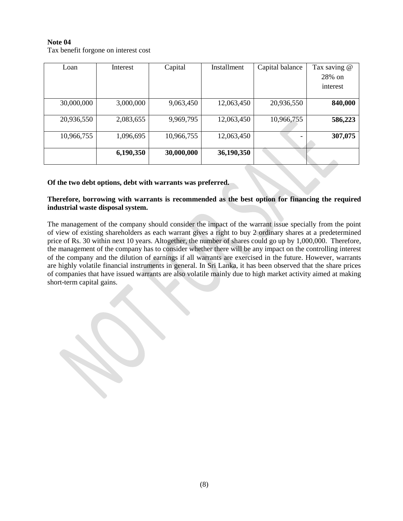## **Note 04** Tax benefit forgone on interest cost

| Loan       | Interest  | Capital    | Installment | Capital balance | Tax saving @ |
|------------|-----------|------------|-------------|-----------------|--------------|
|            |           |            |             |                 | 28% on       |
|            |           |            |             |                 | interest     |
|            |           |            |             |                 |              |
| 30,000,000 | 3,000,000 | 9,063,450  | 12,063,450  | 20,936,550      | 840,000      |
|            |           |            |             |                 |              |
| 20,936,550 | 2,083,655 | 9,969,795  | 12,063,450  | 10,966,755      | 586,223      |
|            |           |            |             |                 |              |
| 10,966,755 | 1,096,695 | 10,966,755 | 12,063,450  |                 | 307,075      |
|            |           |            |             |                 |              |
|            | 6,190,350 | 30,000,000 | 36,190,350  |                 |              |
|            |           |            |             |                 |              |

## **Of the two debt options, debt with warrants was preferred.**

**Therefore, borrowing with warrants is recommended as the best option for financing the required industrial waste disposal system.** 

The management of the company should consider the impact of the warrant issue specially from the point of view of existing shareholders as each warrant gives a right to buy 2 ordinary shares at a predetermined price of Rs. 30 within next 10 years. Altogether, the number of shares could go up by 1,000,000. Therefore, the management of the company has to consider whether there will be any impact on the controlling interest of the company and the dilution of earnings if all warrants are exercised in the future. However, warrants are highly volatile financial instruments in general. In Sri Lanka, it has been observed that the share prices of companies that have issued warrants are also volatile mainly due to high market activity aimed at making short-term capital gains.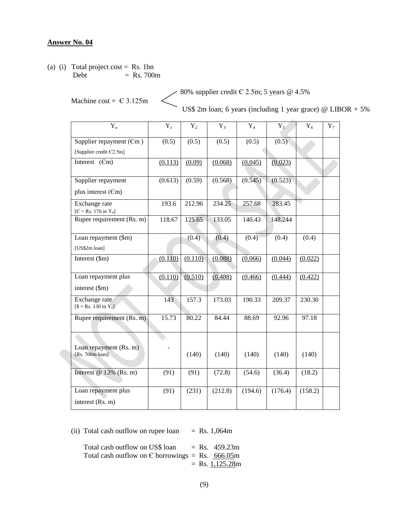#### **Answer No. 04**

(a) (i) Total project cost = Rs. 1bn Debt  $=$  Rs. 700m

Machine cost =  $C$  3.125m

 $\geq$  80% supplier credit  $\epsilon$  2.5m; 5 years @ 4.5%

US\$ 2m loan; 6 years (including 1 year grace) @ LIBOR + 5%

| $Y_{o}$                                                         | $Y_1$   | $Y_2$   | $Y_3$   | $Y_4$   | $Y_5$   | $Y_6$   | $Y_7$ |
|-----------------------------------------------------------------|---------|---------|---------|---------|---------|---------|-------|
| Supplier repayment $(Cm)$                                       | (0.5)   | (0.5)   | (0.5)   | (0.5)   | (0.5)   |         |       |
| [Supplier credit £2.5m]                                         |         |         |         |         |         |         |       |
| Interest $(Cm)$                                                 | (0.113) | (0.09)  | (0.068) | (0.045) | (0.023) |         |       |
| Supplier repayment                                              | (0.613) | (0.59)  | (0.568) | (0.545) | (0.523) |         |       |
| plus interest $(Cm)$                                            |         |         |         |         |         |         |       |
| Exchange rate<br>$[{\rm C} = {\rm Rs.} 176$ in Y <sub>0</sub> ] | 193.6   | 212.96  | 234.25  | 257.68  | 283.45  |         |       |
| Rupee requirement (Rs. m)                                       | 118.67  | 125.65  | 133.05  | 140.43  | 148.244 |         |       |
| Loan repayment (\$m)                                            |         | (0.4)   | (0.4)   | (0.4)   | (0.4)   | (0.4)   |       |
| [US\$2m loan]                                                   |         |         |         |         |         |         |       |
| Interest (\$m)                                                  | (0.110) | (0.110) | (0.088) | (0.066) | (0.044) | (0.022) |       |
| Loan repayment plus                                             | (0.110) | (0.510) | (0.488) | (0.466) | (0.444) | (0.422) |       |
| interest (\$m)                                                  |         |         |         |         |         |         |       |
| Exchange rate<br>$[$ = Rs. 130 in Y0]$                          | 143     | 157.3   | 173.03  | 190.33  | 209.37  | 230.30  |       |
| Rupee requirement (Rs. m)                                       | 15.73   | 80.22   | 84.44   | 88.69   | 92.96   | 97.18   |       |
|                                                                 |         |         |         |         |         |         |       |
| Loan repayment (Rs. m)                                          |         |         |         |         |         |         |       |
| [Rs. $700m$ loan]                                               |         | (140)   | (140)   | (140)   | (140)   | (140)   |       |
| Interest @ $13\%$ (Rs. m)                                       | (91)    | (91)    | (72.8)  | (54.6)  | (36.4)  | (18.2)  |       |
| Loan repayment plus                                             | (91)    | (231)   | (212.8) | (194.6) | (176.4) | (158.2) |       |
| interest (Rs. m)                                                |         |         |         |         |         |         |       |

(ii) Total cash outflow on rupee loan = Rs.  $1,064m$ 

Total cash outflow on US\$ loan = Rs.  $459.23m$ Total cash outflow on  $E$  borrowings = Rs. 666.05m  $=$  Rs.  $1,125.28m$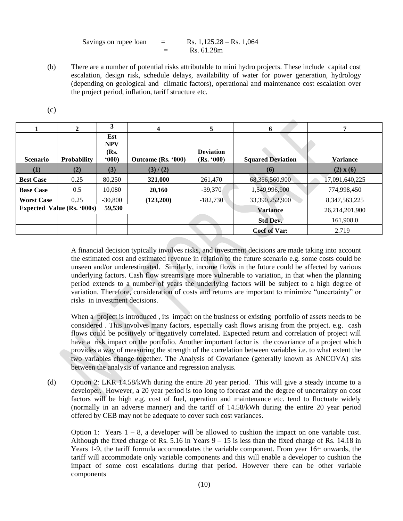Savings on rupee loan  $=$  Rs.  $1,125.28 -$ Rs.  $1,064$  $=$  Rs. 61.28m

(b) There are a number of potential risks attributable to mini hydro projects. These include capital cost escalation, design risk, schedule delays, availability of water for power generation, hydrology (depending on geological and climatic factors), operational and maintenance cost escalation over the project period, inflation, tariff structure etc.

(c)

|                                             | $\mathbf{2}$       | 3                                | 4                  | 5                              | 6                        |                   |
|---------------------------------------------|--------------------|----------------------------------|--------------------|--------------------------------|--------------------------|-------------------|
| <b>Scenario</b>                             | <b>Probability</b> | Est<br><b>NPV</b><br>(Rs.<br>000 | Outcome (Rs. '000) | <b>Deviation</b><br>(Rs. '000) | <b>Squared Deviation</b> | <b>Variance</b>   |
| $\bf(1)$                                    | (2)                | (3)                              | (3) / (2)          |                                | (6)                      | (2) x (6)         |
| <b>Best Case</b>                            | 0.25               | 80,250                           | 321,000            | 261,470                        | 68,366,560,900           | 17,091,640,225    |
| <b>Base Case</b>                            | 0.5                | 10.080                           | 20,160             | $-39,370$                      | 1,549,996,900            | 774,998,450       |
| <b>Worst Case</b>                           | 0.25               | $-30.800$                        | (123,200)          | $-182.730$                     | 33.390.252.900           | 8, 347, 563, 225  |
| <b>Expected Value (Rs. '000s)</b><br>59,530 |                    |                                  |                    |                                | <b>Variance</b>          | 26, 214, 201, 900 |
|                                             |                    |                                  |                    |                                | <b>Std Dev.</b>          | 161,908.0         |
|                                             |                    |                                  |                    |                                | <b>Coef of Var:</b>      | 2.719             |

A financial decision typically involves risks, and investment decisions are made taking into account the estimated cost and estimated revenue in relation to the future scenario e.g. some costs could be unseen and/or underestimated. Similarly, income flows in the future could be affected by various underlying factors. Cash flow streams are more vulnerable to variation, in that when the planning period extends to a number of years the underlying factors will be subject to a high degree of variation. Therefore, consideration of costs and returns are important to minimize "uncertainty" or risks in investment decisions.

When a project is introduced , its impact on the business or existing portfolio of assets needs to be considered . This involves many factors, especially cash flows arising from the project. e.g. cash flows could be positively or negatively correlated. Expected return and correlation of project will have a risk impact on the portfolio. Another important factor is the covariance of a project which provides a way of measuring the strength of the correlation between variables i.e. to what extent the two variables change together. The Analysis of Covariance (generally known as ANCOVA) sits between the analysis of variance and regression analysis.

(d) Option 2: LKR 14.58/kWh during the entire 20 year period. This will give a steady income to a developer. However, a 20 year period is too long to forecast and the degree of uncertainty on cost factors will be high e.g. cost of fuel, operation and maintenance etc. tend to fluctuate widely (normally in an adverse manner) and the tariff of 14.58/kWh during the entire 20 year period offered by CEB may not be adequate to cover such cost variances.

Option 1: Years  $1 - 8$ , a developer will be allowed to cushion the impact on one variable cost. Although the fixed charge of Rs. 5.16 in Years 9 – 15 is less than the fixed charge of Rs. 14.18 in Years 1-9, the tariff formula accommodates the variable component. From year 16+ onwards, the tariff will accommodate only variable components and this will enable a developer to cushion the impact of some cost escalations during that period. However there can be other variable components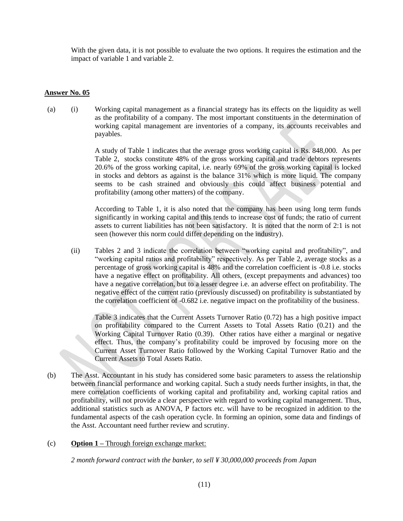With the given data, it is not possible to evaluate the two options. It requires the estimation and the impact of variable 1 and variable 2.

## **Answer No. 05**

(a) (i) Working capital management as a financial strategy has its effects on the liquidity as well as the profitability of a company. The most important constituents in the determination of working capital management are inventories of a company, its accounts receivables and payables.

> A study of Table 1 indicates that the average gross working capital is Rs. 848,000. As per Table 2, stocks constitute 48% of the gross working capital and trade debtors represents 20.6% of the gross working capital, i.e. nearly 69% of the gross working capital is locked in stocks and debtors as against is the balance 31% which is more liquid. The company seems to be cash strained and obviously this could affect business potential and profitability (among other matters) of the company.

> According to Table 1, it is also noted that the company has been using long term funds significantly in working capital and this tends to increase cost of funds; the ratio of current assets to current liabilities has not been satisfactory. It is noted that the norm of 2:1 is not seen (however this norm could differ depending on the industry).

(ii) Tables 2 and 3 indicate the correlation between "working capital and profitability", and "working capital ratios and profitability" respectively. As per Table 2, average stocks as a percentage of gross working capital is 48% and the correlation coefficient is -0.8 i.e. stocks have a negative effect on profitability. All others, (except prepayments and advances) too have a negative correlation, but to a lesser degree i.e. an adverse effect on profitability. The negative effect of the current ratio (previously discussed) on profitability is substantiated by the correlation coefficient of -0.682 i.e. negative impact on the profitability of the business.

Table 3 indicates that the Current Assets Turnover Ratio (0.72) has a high positive impact on profitability compared to the Current Assets to Total Assets Ratio (0.21) and the Working Capital Turnover Ratio (0.39). Other ratios have either a marginal or negative effect. Thus, the company's profitability could be improved by focusing more on the Current Asset Turnover Ratio followed by the Working Capital Turnover Ratio and the Current Assets to Total Assets Ratio.

- (b) The Asst. Accountant in his study has considered some basic parameters to assess the relationship between financial performance and working capital. Such a study needs further insights, in that, the mere correlation coefficients of working capital and profitability and, working capital ratios and profitability, will not provide a clear perspective with regard to working capital management. Thus, additional statistics such as ANOVA, P factors etc. will have to be recognized in addition to the fundamental aspects of the cash operation cycle. In forming an opinion, some data and findings of the Asst. Accountant need further review and scrutiny.
- (c) **Option 1 –** Through foreign exchange market:

*2 month forward contract with the banker, to sell ¥ 30,000,000 proceeds from Japan*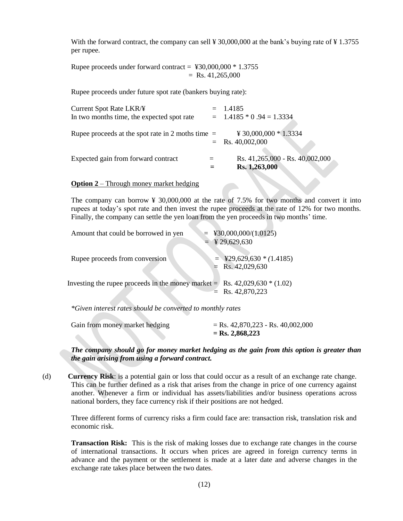With the forward contract, the company can sell ¥ 30,000,000 at the bank's buying rate of ¥ 1.3755 per rupee.

Rupee proceeds under forward contract =  $430,000,000 * 1.3755$  $=$  Rs. 41,265,000

Rupee proceeds under future spot rate (bankers buying rate):

| Current Spot Rate LKR/¥                             | $= 1.4185$                                       |
|-----------------------------------------------------|--------------------------------------------------|
| In two months time, the expected spot rate          | $= 1.4185 * 0.94 = 1.3334$                       |
| Rupee proceeds at the spot rate in 2 moths time $=$ | ¥ 30,000,000 $*$ 1.3334<br>$=$ Rs. 40,002,000    |
| Expected gain from forward contract                 | Rs. 41,265,000 - Rs. 40,002,000<br>Rs. 1,263,000 |

**Option 2** – Through money market hedging

The company can borrow ¥ 30,000,000 at the rate of 7.5% for two months and convert it into rupees at today's spot rate and then invest the rupee proceeds at the rate of 12% for two months. Finally, the company can settle the yen loan from the yen proceeds in two months' time.

| Amount that could be borrowed in yen                                         | $=$ ¥30,000,000/(1.0125)                         |
|------------------------------------------------------------------------------|--------------------------------------------------|
|                                                                              | $=$ ¥ 29,629,630                                 |
| Rupee proceeds from conversion                                               | $=$ ¥29,629,630 * (1.4185)<br>$=$ Rs. 42,029,630 |
| Investing the rupee proceeds in the money market = Rs. $42,029,630 * (1.02)$ | $=$ Rs. 42,870,223                               |

*\*Given interest rates should be converted to monthly rates* 

| Gain from money market hedging | $=$ Rs. 42,870,223 - Rs. 40,002,000 |
|--------------------------------|-------------------------------------|
|                                | $=$ Rs. 2,868,223                   |

*The company should go for money market hedging as the gain from this option is greater than the gain arising from using a forward contract.* 

(d) **Currency Risk**: is a potential gain or loss that could occur as a result of an exchange rate change. This can be further defined as a risk that arises from the change in price of one currency against another. Whenever a firm or individual has assets/liabilities and/or business operations across national borders, they face currency risk if their positions are not hedged.

Three different forms of currency risks a firm could face are: transaction risk, translation risk and economic risk.

**Transaction Risk:** This is the risk of making losses due to exchange rate changes in the course of international transactions. It occurs when prices are agreed in foreign currency terms in advance and the payment or the settlement is made at a later date and adverse changes in the exchange rate takes place between the two dates.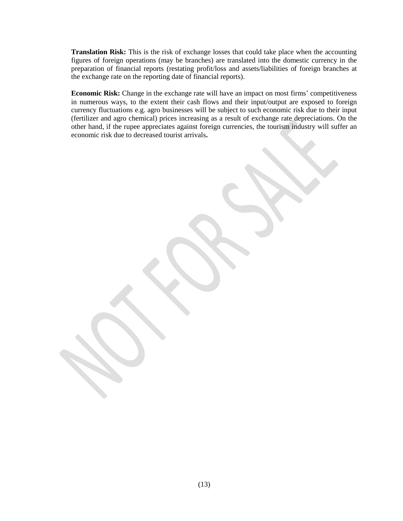**Translation Risk:** This is the risk of exchange losses that could take place when the accounting figures of foreign operations (may be branches) are translated into the domestic currency in the preparation of financial reports (restating profit/loss and assets/liabilities of foreign branches at the exchange rate on the reporting date of financial reports).

**Economic Risk:** Change in the exchange rate will have an impact on most firms' competitiveness in numerous ways, to the extent their cash flows and their input/output are exposed to foreign currency fluctuations e.g. agro businesses will be subject to such economic risk due to their input (fertilizer and agro chemical) prices increasing as a result of exchange rate depreciations. On the other hand, if the rupee appreciates against foreign currencies, the tourism industry will suffer an economic risk due to decreased tourist arrivals**.**